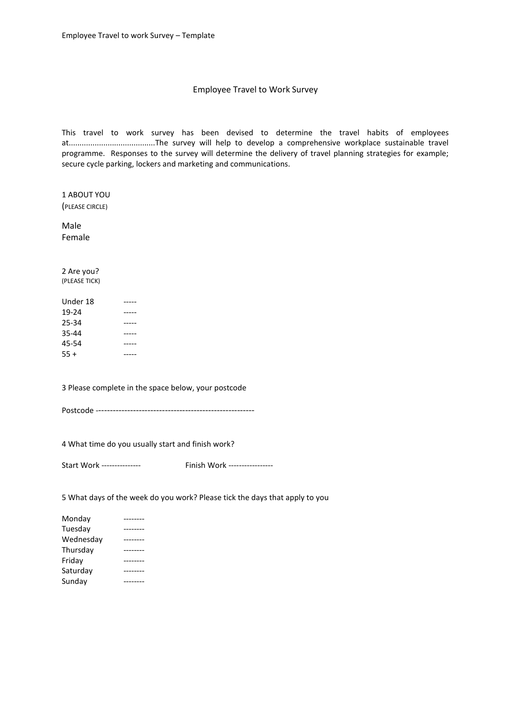## Employee Travel to Work Survey

This travel to work survey has been devised to determine the travel habits of employees at........................................The survey will help to develop a comprehensive workplace sustainable travel programme. Responses to the survey will determine the delivery of travel planning strategies for example; secure cycle parking, lockers and marketing and communications.

1 ABOUT YOU (PLEASE CIRCLE)

Male Female

2 Are you? (PLEASE TICK)

| Under 18 |  |
|----------|--|
| 19-24    |  |
| 25-34    |  |
| 35-44    |  |
| 45-54    |  |
| $55+$    |  |

3 Please complete in the space below, your postcode

Postcode -------------------------------------------------------

4 What time do you usually start and finish work?

Start Work --------------- Finish Work -----------------

5 What days of the week do you work? Please tick the days that apply to you

| Monday    |  |
|-----------|--|
| Tuesday   |  |
| Wednesday |  |
| Thursday  |  |
| Friday    |  |
| Saturday  |  |
| Sunday    |  |
|           |  |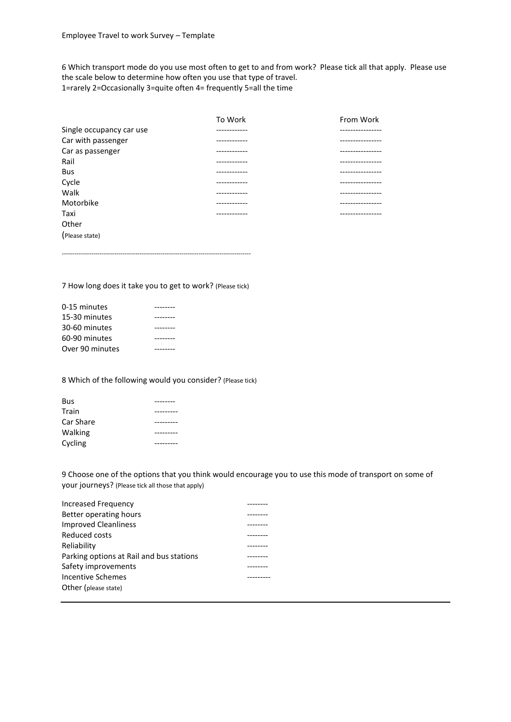6 Which transport mode do you use most often to get to and from work? Please tick all that apply. Please use the scale below to determine how often you use that type of travel. 1=rarely 2=Occasionally 3=quite often 4= frequently 5=all the time

|                          | To Work      | From Work        |
|--------------------------|--------------|------------------|
| Single occupancy car use | -----------  | --------------   |
| Car with passenger       | ----------   | -------------    |
| Car as passenger         | -----------  | --------------   |
| Rail                     | ------------ | .                |
| Bus                      | ------------ | ---------------- |
| Cycle                    | ------------ | ---------------  |
| Walk                     | ------------ | .                |
| Motorbike                | ----------   | --------------   |
| Taxi                     | -----------  | ---------------  |
| Other                    |              |                  |
| (Please state)           |              |                  |

7 How long does it take you to get to work? (Please tick)

------------------------------------------------------------------------------------------

| 0-15 minutes    |  |
|-----------------|--|
| 15-30 minutes   |  |
| 30-60 minutes   |  |
| 60-90 minutes   |  |
| Over 90 minutes |  |

8 Which of the following would you consider? (Please tick)

| <b>Bus</b> |  |
|------------|--|
| Train      |  |
| Car Share  |  |
| Walking    |  |
| Cycling    |  |

9 Choose one of the options that you think would encourage you to use this mode of transport on some of your journeys? (Please tick all those that apply)

| Increased Frequency                      |  |
|------------------------------------------|--|
| Better operating hours                   |  |
| <b>Improved Cleanliness</b>              |  |
| Reduced costs                            |  |
| Reliability                              |  |
| Parking options at Rail and bus stations |  |
| Safety improvements                      |  |
| Incentive Schemes                        |  |
| Other (please state)                     |  |
|                                          |  |